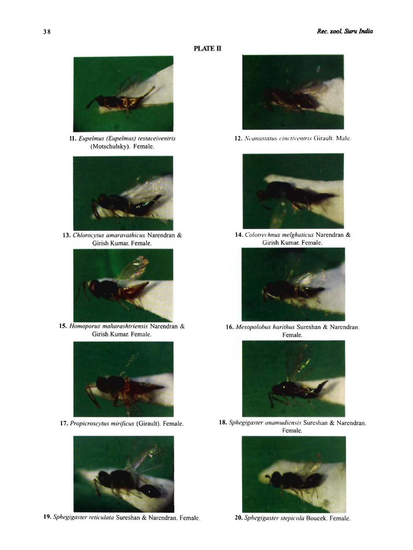# **PLATE II**



11. Eupelmus (Eupelmus) testaceiventris (Motschulsky). Female.



13. Chlorocytus amaravathicus Narendran & Girish Kumar. Female.



15. Homoporus maharashtriensis Narendran & Girish Kumar. Female.



17. Propicroscytus mirificus (Girault). Female.



19. Sphegigaster reticulata Sureshan & Narendran. Female.



12. Neanastatus cinctiventris Girault. Male.



14. Colotrechnus melghaticus Narendran & Girish Kumar. Female.



16. Mesopolobus harithus Sureshan & Narendran. Female.



18. Sphegigaster anamudiensis Sureshan & Narendran. Female.



20. Sphegigaster stepicola Boucek. Female.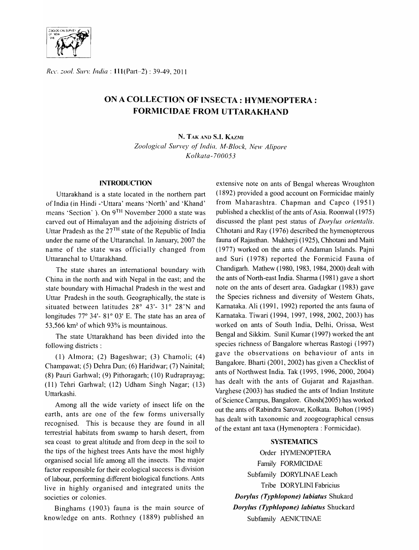

*Rec. zool. Surv. India* : 111(Part-2) : 39-49, 2011

# ON A COLLECTION OF INSECTA: HYMENOPTERA : FORMICIDAE FROM UTTARAKHAND

N. TAK AND S.I. KAZMI

Zoological Survey of India, M-Block, New Alipore *Kolkata-700053* 

## **INTRODUCTION**

Uttarakhand is a state located in the northern part of India (in Hindi -'Uttara' means 'North' and 'Khand' means 'Section' ). On 9TH November 2000 a state was carved out of Himalayan and the adjoining districts of Uttar Pradesh as the 27TH state of the Republic of India under the name of the Uttaranchal. In January, 2007 the name of the state was officially changed from Uttaranchal to Uttarakhand.

The state shares an international boundary with China in the north and with Nepal in the east; and the state boundary with Himachal Pradesh in the west and Uttar Pradesh in the south. Geographically, the state is situated between latitudes  $28^{\circ}$  43'- 31° 28'N and longitudes  $77^{\circ}$  34'-  $81^{\circ}$  03' E. The state has an area of 53.566 km<sup>2</sup> of which 93% is mountainous.

The state Uttarakhand has been divided into the following districts:

(1) Almora; (2) Bageshwar; (3) Chamoli;  $(4)$ Champawat; (5) Dehra Dun; (6) Haridwar; (7) Nainital; (8) Pauri Garhwal; (9) Pithoragarh; (10) Rudraprayag; (11) Tehri Garhwal; (12) Udham Singh Nagar; (13) Uttarkashi.

Among all the wide variety of insect life on the earth, ants are one of the few forms universally recognised. This is because they are found in all terrestrial habitats from swamp to harsh desert, from sea coast to great altitude and from deep in the soil to the tips of the highest trees Ants have the most highly organised social life among all the insects. The major factor responsible for their ecological success is division of labour, performing different biological functions. Ants live in highly organised and integrated units the societies or colonies.

Binghams (1903) fauna is the main source of knowledge on ants. Rothney (1889) published an

extensive note on ants of Bengal whereas Wroughton (1892) provided a good account on Formicidae mainly from Maharashtra. Chapman and Capco (1951) published a checklist of the ants of Asia. Roonwal (1975) discussed the plant pest status of *Dorylus orientalis.*  Chhotani and Ray (1976) described the hymenopterous fauna of Rajasthan. Mukherji (1925), Chhotani and Maiti (1977) worked on the ants of Andaman Islands. Pajni and Suri (1978) reported the Formicid Fauna of Chandigarh. Mathew (1980, 1983, 1984, 2000) dealt with the ants of North-east India. Sharma (1981) gave a short note on the ants of desert area. Gadagkar (1983) gave the Species richness and diversity of Western Ghats, Karnataka. Ali (1991, 1992) reported the ants fauna of Karnataka. Tiwari (1994, 1997, 1998, 2002, 2003) has worked on ants of South India, Delhi, Orissa, West Bengal and Sikkim. Sunil Kumar (1997) worked the ant species richness of Bangalore whereas Rastogi (1997) gave the observations on behaviour of ants in Bangalore. Bharti (2001, 2002) has given a Checklist of ants of Northwest India. Tak (1995, 1996, 2000, 2004) has dealt with the ants of Gujarat and Rajasthan. Varghese (2003) has studied the ants of Indian Institute of Science Campus, Bangalore. Ghosh(2005) has worked out the ants of Rabindra Sarovar, Kolkata. Bolton (1995) has dealt with taxonomic and zoogeographical census of the extant ant taxa (Hymenoptera: Formicidae).

#### SYSTEMATICS

Order HYMENOPTERA Family FORMICIDAE Subfamily DORYLINAE Leach Tribe DORYLINI Fabricius *Dorylus (Typhlopone) labiatus Shukard Dorylus (Typhlopone) labiatlls* Shuckard Subfamily AENICTINAE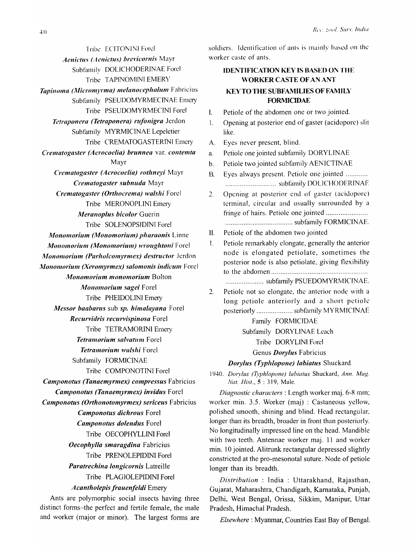Tribe ECITONINI Forel *Aenictus (Aenictus) brevicornis* Mayr Subfamily DOLICHODERlNAE Fore! Tribe TAPINOMINI EMERY *Tapinoma (Micromyrma) melanocephalum* Fabricius Subfamily PSEUDOMYRMECINAE Emery Tribe PSEUDOMYRMECINI Fore1 *Tetraponera (Tetraponera) rufonigra Jerdon* Subfamily MYRMICINAE Lepeletier Tribe CREMATOGASTERINI Emery *Crematogaster (Acrocoelia) brunnea* var. *contemta* Mayr *Crematogaster (Aerocoelia) rothneyi* Mayr *Crematogaster subnuda* Mayr *Crematogaster (Orthocrema) walshi* Forel Tribe MERONOPLINI Emery *Meranoplus bicolor Guerin* Tribe SOLENOPSIDINI Forel *Monomorium (Monomorium) pharaonis* Linne *Monomorium (Monomorium) wroughtoni* Forel *Monomorillm (Parholcomyrmex) destructor* Jerdon *Monomorium (Xeromyrmex) salomonis indicum Forel Monomorium monomorium Bolton Monomorium sagei* Forel Tribe PHEIDOLINI Emery *Messor baabarus sub sp. himalayana* Forel *Recurvidris recllrvispinosa* Forel Tribe TETRAMORINI Emery *Tetramorium salvatum Forel Tetramorium walshi* Forcl Subfamily' FORMICINAE Tribe COMPONOTINI Fore1 *Camponotus (Tanaemyrmex) compressus* Fabricius *Camponotus (Tanaemyrmex) invidus* Forel *Camponotus (Orthonotomyrmex) sericeus* Fabricius *Camponotus dichrous* Forel *Camponotlls dolendus* Forel Tribe OECOPHYLLINI Fore1 *Oecophylla smaragdina* Fabricius Tribe PRENOLEPIDINI Forel *Paratrechina longicornis* Latreille Tribe PLAGIOLEPIDINI Forel *Acantholepis frauenfeldi* Emery Ants are polymorphic social insects having three

distinct forms-the perfect and fertile female, the male and worker (major or minor). The largest forms are soldiers. Identification of ants is mainly based on the worker caste of ants.

# IDENTIFICATION KEY IS BASED ON THE \\'ORKER CASTE OF AN ANT KEY TO THE SUBFAMILIES OF FAMILY **FORMICIDAE**

- I. Petiole of the abdomen one or two jointed.
- 1. Opening at posterior end of gaster (acidopore) slit like.
- A. ·Eyes never present, blind.
- a. Petiole one jointed subfamily DORYLINAE
- b. Petiole two jointed subfamily AENICTINAE
- B. Eyes always present. Petiole one jointed ........... . ...... ..... .... ......... .... subfamily DOLICHODERINAE
- 2. Opening at posterior end of gaster (acidoporc) terminal, circular and usually surrounded by a fringe of hairs. Petiole one jointed ........................ ..................................... subfamily FORMICINAE.
- II. Petiole of the abdomen two jointed
- 1. Petiole remarkably elongate, generally the anterior node is elongated petiolate, sometimes the posterior node is also petiolate, giving flexibility to the abdomen .................................................... .

..................... subfamily PSUEDOMYRMICINAE.

2. Petiole not so elongate, the anterior node with a long petiole anteriorly and a short petiole posteriorly .................... suhfamily MYRMIClNAE

> Family FORMICIDAE Subfamily DORYLINAE Leach Tribe DORYLINI Ford Genus *Dorylus* Fabricius

# *Dorylus (Typhlopone) labiatus* Shuckard

1940. *Dorvlus (Typhlopone) labiatus Shuckard, Ann. Mag. Nat. His!.,* 5 : 319, Male.

*Diagnostic characters:* Length worker maj. 6-8 mm; worker min. 3.5. Worker (maj) : Castaneous yellow, polished smooth, shining and blind. Head rectangular, longer than its breadth, broader in front than posteriorly. No longitudinally impressed line on the head. Mandible with two teeth. Antennae worker maj. 11 and worker min. 10 jointed. Alitrunk rectangular depressed slightly constricted at the pro-mesonotal suture. Node of petiole longer than its breadth.

*Distribution* : India : Uttarakhand, Rajasthan, Gujarat, Maharashtra, Chandigarh, Kamataka, Punjab, Delhi, West Bengal, Orissa, Sikkim, Manipur, Uttar Pradesh, Himachal Pradesh.

*Elsevvhere* : Myanmar, Countries East Bay of Bengal.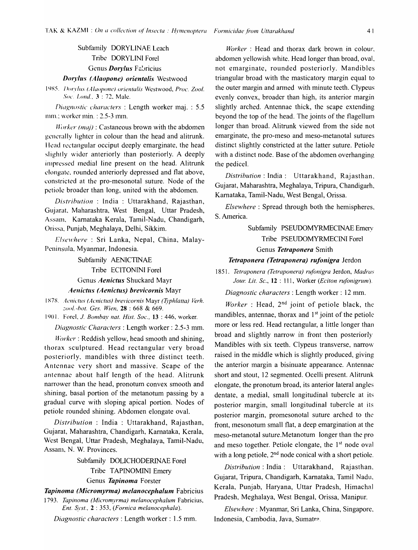Subfamily DORYLINAE Leach Tribe DORYLINI Forel Genus *Dorylus* Fabricius

#### *Doryl".\' (Alaopone) orientalis* Westwood

)9X5. *I* )orr/lls (A *ILlopol/e) oriel/talis* Westwood, *Proc. Zoo/. Soc. Lond.*, 3 : 72, Male.

*Diagnostic characters*: Length worker maj. : 5.5 mm.; worker min. : 2.5-3 mm.

Horker (maj) : Castaneous brown with the abdomen generally lighter in colour than the head and alitrunk. Head rectangular occiput deeply emarginate, the head slightly wider anteriorly than posteriorly. A deeply impressed medial line present on the head. Alitrunk elongate, rounded anteriorly depressed and flat above, constricted at the pro-mesonotal suture. Node of the petiole broader than long, united with the abdomen.

*Distribution* : India : Uttarakhand, Rajasthan, Gujarat. Maharashtra, West Bengal, Uttar Pradesh, Assam, Karnataka Kerala, Tamil-Nadu, Chandigarh, Orissa, Punjab, Meghalaya, Delhi, Sikkim.

*Elsewhere* : Sri Lanka, Nepal, China, Malay-Peninsula, Myanmar, Indonesia.

Subfamily AENICTINAE

Tribe ECITONINI Forel

# Genus *Aenictus* Shuckard Mayr *Aellictlls (Aenictlls) brevicornis* Mayr

1 X7X . *..lcl/ictus (Acnictlls) brevicornis* Mayr *(Typhlatta) Verh. ::oo/.-hot. Ges. lVien,* 28 : 668 & 669.

1901. Forel, *J. Bombay nat. Hist. Soc.*, **13** : 446, worker.

*Diagnostic Characters:* Length worker: 2.5-3 mm.

*Worker:* Reddish yellow, head smooth and shining, thorax sculptured. Head rectangular very broad posteriorly, mandibles with three distinct teeth. Antennae very short and massive. Scape of the antennae about half length of the head. Alitrunk narrower than the head, pronotum convex smooth and shining, basal portion of the metanotum passing by a gradual curve with sloping apical portion. Nodes of petiole rounded shining. Abdomen elongate oval.

*Distribution* : India : Uttarakhand, Rajasthan, Gujarat, Maharashtra, Chandigarh, Karnataka, Kerala, West Bengal, Uttar Pradesh, Meghalaya, Tamil-Nadu, Assam, N. W. Provinces.

# Subfamily DOLICHODERINAE Forel Tribe TAPINOMINI Emery Genus *Tapinoma* Forster

*Tapinoma (Micromyrma) melanocephaillm* Fabricius

*1793. Tapinoma (Micromyrma) melanocephallim* Fabricius, *Ent. Syst.,* 2 : 353, *(Fornica melanocephala).* 

*Diagnostic characters:* Length worker: 1.5 mm.

*Worker* : Head and thorax dark brown in colour, abdomen yellowish white. Head longer than broad, oval, not emarginate, rounded posteriorly. Mandibles triangular broad with the masticatory margin equal to the outer margin and armed with minute teeth. Clypeus evenly convex, broader than high, its anterior margin slightly arched. Antennae thick, the scape extending beyond the top of the head. The joints of the flagellum longer than broad. Alitrunk viewed from the side not emarginate, the pro-meso and meso-metanotal sutures distinct slightly constricted at the latter suture. Petiole with a distinct node. Base of the abdomen overhanging the pedicel.

*Distribution:* India: Uttarakhand, Rajasthan. Gujarat, Maharashtra, Meghalaya, Tripura, Chandigarh, Karnataka, Tamil-Nadu, West Bengal, Orissa.

*Elsewhere* : Spread through both the hemispheres, S. America.

# Subfamily PSEUDOMYRMECINAE Emery Tribe PSEUDOMYRMECINI Fore1 Genus *Tetraponera* Smith

#### *Tetraponera (Tetraponera) rufonigra* Jerdon

*1851. Tetraponera (Tetraponera) rufonigra* Jerdon, *Madras Jour. Lit. Sc.,* 12 : 111, Worker *(Eciton rufonigrum).* 

*Diagnostic characters:* Length worker: 12 mm.

*Worker* : Head, 2nd joint of petiole black, the mandibles, antennae, thorax and  $1<sup>st</sup>$  joint of the petiole more or less red. Head rectangular, a little longer than broad and slightly narrow in front then posteriorly Mandibles with six teeth. Clypeus transverse, narrow raised in the middle which is slightly produced, giving the anterior margin a bisinuate appearance. Antennae short and stout, 12 segmented. Ocelli present. Alitrunk elongate, the pronotum broad, its anterior lateral angles dentate, a medial, small longitudinal tubercle at its posterior margin, small longitudinal tubercle at its posterior margin, promesonotal suture arched to the front, mesonotum small flat, a deep emargination at the meso-metanotal suture.Metanotum longer than the pro and meso together. Petiole elongate, the  $1<sup>st</sup>$  node oval with a long petiole,  $2<sup>nd</sup>$  node conical with a short petiole.

*Distribution:* India: Uttarakhand, Rajasthan. Gujarat, Tripura, Chandigarh, Karnataka, Tamil Nadu, Kerala, Punjab, Haryana, Uttar Pradesh, Himachal Pradesh, Meghalaya, West Bengal, Orissa, Manipur.

*Elsewhere:* Myanmar, Sri Lanka, China, Singapore, Indonesia, Cambodia, Java, Sumatre.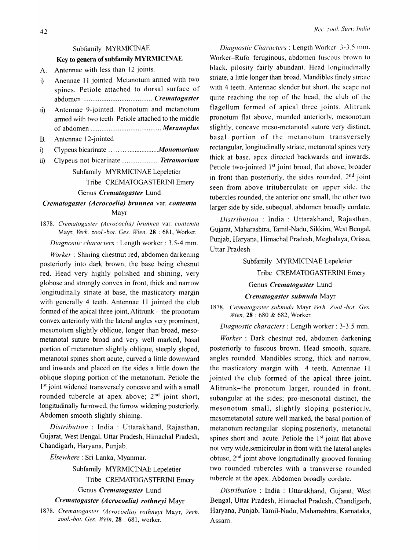# Subfamily MYRMICINAE

# Key to genera of subfamily MYRMICINAE

A. Antennae with less than 12 joints.

- i) Anennae II jointed. Metanotum armed with two spines. Petiole attached to dorsal surface of abdomen ...................................... *Crematogaster*
- ii) Antennae 9-jointed. Pronotum and metanotum armed with two teeth. Petiole attached to the middle of abdomen ....................................... *Meranopilis*
- B. Antennae 12-jointed
- i) Clypeus bicarinate ...........................*Monomorium*
- ii) Clypeus not bicarinate ..................... *Tetramorium*

# Subfamily MYRMICINAE Lepeletier Tribe CREMATOGASTERINl Emery

Genus *Crematogaster* Lund

# *Crematogaster (Acrocoelia) brunnea var. contemta* Mayr

1878. *Crematogaster (Acrococlia) hrunnea* var. *contemta*  Mayr, *Verh. zool.-bot. Ges. Wien.* 28 : 681, Worker.

*Diagnostic characters:* Length worker: 3.5-4 mm.

*Worker:* Shining chestnut red, abdomen darkening posteriorly into dark brown, the base being chesnut red. Head very highly polished and shining, very globose and strongly convex in front, thick and narrow longitudinally striate at base, the masticatory margin with generally 4 teeth. Antennae 11 jointed the club formed of the apical three joint, Alitrunk  $-$  the pronotum convex anteriorly with the lateral angles very prominent, mesonotum slightly oblique, longer than broad, mesometanotal suture broad and very well marked, basal portion of metanotum slightly oblique, steeply sloped, metanotal spines short acute, curved a little downward and inwards and placed on the sides a little down the oblique sloping portion of the metanotum. Petiole the 1<sup>st</sup> joint widened transversely concave and with a small rounded tubercle at apex above;  $2<sup>nd</sup>$  joint short, longitudinally furrowed, the furrow widening posteriorly. Abdomen smooth slightly shining.

*Distribution* : India : Uttarakhand, Rajasthan, Gujarat, West Bengal, Uttar Pradesh, Himachal Pradesh, Chandigarh, Haryana, Punjab.

# *Elsewhere:* Sri Lanka, Myanmar.

Subfamily MYRMICINAE Lepeletier Tribe CREMATOGASTERINI Emery Genus *Crematogaster* Lund

# *Crematogaster (Acrocoelia) rothneyi* Mayr

1878. *Crematogaster (Acrocoelia) rothneyi* Mayr, *Verh. zool.-bot. Ges. Wein,* 28 : 681, worker.

*Diagnostic Characters:* Length \Vorker-J-J.5 mm. Worker-Rufo-feruginous, abdomen fuscous brown to black, pilosity fairly abundant. Head longitudinally striate, a little longer than broad. Mandibles finely striate with 4 teeth. Antennae slender but short, the scape not quite reaching the top of the head, the club of the flagellum formed of apical three joints. Alitrunk pronotum flat above, rounded anteriorly, mesonotum slightly, concave meso-metanotal suture very distinct, basal portion of the metanotum transversely rectangular, longitudinally striate, metanotal spines very thick at base, apex directed backwards and inwards. Petiole two-jointed 1<sup>st</sup> joint broad, flat above; broader in front than posteriorly, the sides rounded,  $2<sup>nd</sup>$  joint seen from above trituberculate on upper side, the tubercles rounded, the anterior one smalL the other two larger side by side, subequal, abdomen broadly cordate.

*Distribution* : India: Uttarakhand, Rajasthan, Gujarat, Maharashtra, Tamil-Nadu, Sikkim, West Bengal, Punjab, Haryana, Himachal Pradesh, Meghalaya, Orissa, Uttar Pradesh.

> Subfamily MYRMICINAE Lepeletier Tribe CREMATOGASTERINI Emery Genus *Crematogaster* Lund

#### *Crematogaster subnuda* Mayr

1878. *Crematogaster subnuda* Mayr *Verh.* /001. -hot. *Ges. Wien.* 28 : 680 & 682, Worker.

*Diagnostic characters:* Length worker: 3-3.5 mm.

*Worker* : Dark chestnut red, abdomen darkening posteriorly to fuscous brown. Head smooth, square, angles rounded. Mandibles strong, thick and narrow, the masticatory margin with 4 teeth. Antennae 11 jointed the club formed of the apical three joint, Alitrunk-the pronotum larger, rounded in front, subangular at the sides; pro-mesonotal distinct, the mesonotum small, slightly sloping posteriorly, mesometanotal suture well marked, the basal portion of metanotum rectangular sloping posteriorly, metanotal spines short and acute. Petiole the  $1<sup>st</sup>$  joint flat above not very wide,semicircular in front with the lateral angles obtuse, 2nd joint above longitudinally grooved forming two rounded tubercles with a transverse rounded tubercle at the apex. Abdomen broadly cordate.

*Distribution* : India : Uttarakhand, Gujarat, West Bengal, Uttar Pradesh, Himachal Pradesh, Chandigarh, Haryana, Punjab, Tamil-Nadu, Maharashtra, Kamataka, Assam.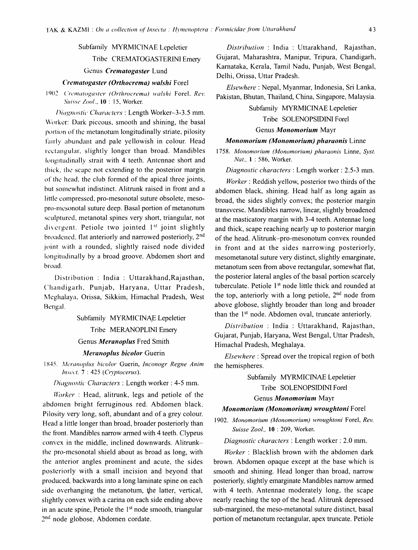# Subfamily MYRMICINAE Lepeletier Tribe CREMATOGASTERINI Emery

Genus Crematogaster Lund

#### Crematogaster (Orthocrema) walshi Forel

### 1902. Crematogaster (Orthrocrema) walshi Forel, Rev. Suisse Zool., 10:15, Worker.

Diagnostic Characters: Length Worker-3-3.5 mm. Worker: Dark piceous, smooth and shining, the basal portion of the metanotum longitudinally striate, pilosity fairly abundant and pale vellowish in colour. Head rectangular, slightly longer than broad. Mandibles longitudinally strait with 4 teeth. Antennae short and thick, the scape not extending to the posterior margin of the head, the club formed of the apical three joints, but somewhat indistinct. Alitrunk raised in front and a little compressed, pro-mesonotal suture obsolete, mesopro-mesonotal suture deep. Basal portion of metanotum sculptured, metanotal spines very short, triangular, not divergent. Petiole two jointed 1<sup>st</sup> joint slightly broadened, flat anteriorly and narrowed posteriorly, 2<sup>nd</sup> joint with a rounded, slightly raised node divided longitudinally by a broad groove. Abdomen short and broad.

Distribution : India : Uttarakhand, Rajasthan, Chandigarh, Punjab, Haryana, Uttar Pradesh, Meghalaya, Orissa, Sikkim, Himachal Pradesh, West Bengal.

> Subfamily MYRMICINAE Lepeletier Tribe MERANOPLINI Emery Genus Meranoplus Fred Smith

Meranoplus bicolor Guerin

1845. Meranoplus bicolor Guerin, Inconogr Regne Anim Insect. 7 : 425 (Cryptocerus).

Diagnostic Characters : Length worker : 4-5 mm.

Worker: Head, alitrunk, legs and petiole of the abdomen bright ferruginous red. Abdomen black. Pilosity very long, soft, abundant and of a grey colour. Head a little longer than broad, broader posteriorly than the front. Mandibles narrow armed with 4 teeth. Clypeus convex in the middle, inclined downwards. Alitrunkthe pro-mesonotal shield about as broad as long, with the anterior angles prominent and acute, the sides posteriorly with a small incision and beyond that produced, backwards into a long laminate spine on each side overhanging the metanotum, the latter, vertical, slightly convex with a carina on each side ending above in an acute spine, Petiole the 1<sup>st</sup> node smooth, triangular 2<sup>nd</sup> node globose, Abdomen cordate.

Distribution : India : Uttarakhand, Rajasthan, Gujarat, Maharashtra, Manipur, Tripura, Chandigarh, Karnataka, Kerala, Tamil Nadu, Punjab, West Bengal, Delhi, Orissa, Uttar Pradesh.

Elsewhere: Nepal, Myanmar, Indonesia, Sri Lanka, Pakistan, Bhutan, Thailand, China, Singapore, Malaysia.

> Subfamily MYRMICINAE Lepeletier Tribe SOLENOPSIDINI Forel

Genus Monomorium Mayr

### Monomorium (Monomorium) pharaonis Linne

1758. Monomorium (Monomorium) pharaonis Linne, Syst. Nat., 1:586, Worker.

Diagnostic characters : Length worker : 2.5-3 mm.

Worker: Reddish yellow, posterior two thirds of the abdomen black, shining. Head half as long again as broad, the sides slightly convex; the posterior margin transverse. Mandibles narrow, linear, slightly broadened at the masticatory margin with 3-4 teeth. Antennae long and thick, scape reaching nearly up to posterior margin of the head. Alitrunk-pro-mesonotum convex rounded in front and at the sides narrowing posteriorly, mesometanotal suture very distinct, slightly emarginate, metanotum seen from above rectangular, somewhat flat, the posterior lateral angles of the basal portion scarcely tuberculate. Petiole 1<sup>st</sup> node little thick and rounded at the top, anteriorly with a long petiole, 2<sup>nd</sup> node from above globose, slightly broader than long and broader than the 1<sup>st</sup> node. Abdomen oval, truncate anteriorly.

Distribution : India : Uttarakhand, Rajasthan, Gujarat, Punjab, Haryana, West Bengal, Uttar Pradesh, Himachal Pradesh, Meghalaya.

*Elsewhere*: Spread over the tropical region of both the hemispheres.

> Subfamily MYRMICINAE Lepeletier Tribe SOLENOPSIDINI Forel

# Genus Monomorium Mayr

#### Monomorium (Monomorium) wroughtoni Forel

1902. Monomorium (Monomorium) wroughtoni Forel, Rev. Suisse Zool., 10 : 209, Worker.

Diagnostic characters : Length worker : 2.0 mm.

Worker: Blacklish brown with the abdomen dark brown. Abdomen opaque except at the base which is smooth and shining. Head longer than broad, narrow posteriorly, slightly emarginate Mandibles narrow armed with 4 teeth. Antennae moderately long, the scape nearly reaching the top of the head. Alitrunk depressed sub-margined, the meso-metanotal suture distinct, basal portion of metanotum rectangular, apex truncate. Petiole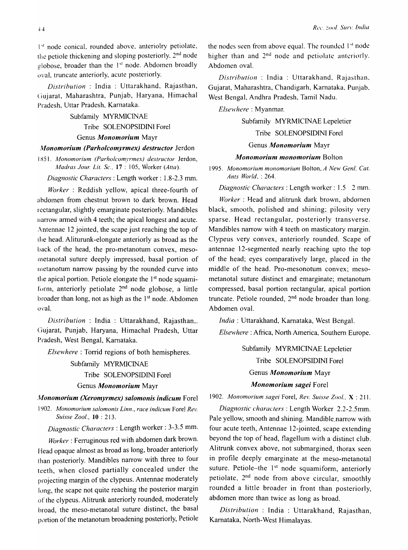$1$ <sup>t</sup> node conical, rounded above, anteriolry petiolate, the petiole thickening and sloping posteriorly. 2nd node globose, broader than the  $1<sup>st</sup>$  node. Abdomen broadly oval. truncate anteriorly, acute posteriorly.

*Distribution* : India : Uttarakhand, Rajasthan, Ciujarat, Maharashtra, Punjab, Haryana, Himachal Pradesh, Uttar Pradesh, Karnataka.

> Subfamily MYRMICINAE Tribe SOLENOPSIDINI Forel

# Genus *Monomorium* Mayr

### *Monomorium (Parholcomyrmex) destructor Jerdon*

1851. Monomorium (Parholcomyrmex) destructor Jerdon, *Madras Jow: Lit. Sc.,* 17: 105, Worker *(Atta).* 

*Diagnostic Characters:* Length worker: 1.8-2.3 mm.

*Worker* : Reddish yellow, apical three-fourth of ahdomen from chestnut brown to dark brown. Head rectangular, slightly emarginate posteriorly. Mandibles narrow armed with 4 teeth; the apical longest and acute. Antennae 12 jointed, the scape just reaching the top of tile head. Aliturunk-elongate anteriorly as broad as the back of the head, the pro-metanotum convex, mesometanotal suture deeply impressed, basal portion of metanotum narrow passing by the rounded curve into the apical portion. Petiole elongate the 1<sup>st</sup> node squamiform, anteriorly petiolate  $2<sup>nd</sup>$  node globose, a little broader than long, not as high as the  $1<sup>st</sup>$  node. Abdomen oval.

*Distribution* : India : Uttarakhand, Rajasthan,. (Jujarat, Punjab, Haryana, Himachal Pradesh, Uttar Pradesh, West Bengal, Karnataka.

*Elsewhere:* Torrid regions of both hemispheres.

Subfamily MYRMICINAE Tribe SOLENOPSIDINI Forel Genus *Monomorium* Mayr

#### */\1onomorium (Xeromyrmex) salomonis indicum* Forel

*1902. Monomorium salomonis Linn., race indicum* Forel *Rev. Suisse Zool.,* 10 : 213.

*Diagnostic Characters:* Length worker: 3-3.5 mm.

*Worker:* Ferruginous red with abdomen dark brown. Head opaque almost as broad as long, broader anteriorly than posteriorly. Mandibles narrow with three to four teeth, when closed partially concealed under the projecting margin of the clypeus. Antennae moderately long, the scape not quite reaching the posterior margin of the clypeus. Alitrunk anteriorly rounded, moderately broad, the meso-metanotal suture distinct, the basal portion of the metanotum broadening posteriorly, Petiole the nodes seen from above equal. The rounded  $1<sup>st</sup>$  node higher than and 2<sup>nd</sup> node and petiolate anteriorly. Abdomen oval.

*Distribution* : India : Uttarakhand. Rajasthan. Gujarat, Maharashtra, Chandigarh, Karnataka, Punjab. West Bengal, Andhra Pradesh, Tamil Nadu.

*Elsewhere* : Myanmar.

Subfamily MYRMICINAE Lepeletier

## Tribe SOLENOPSIDINI Forel

# Genus *Monomorium* Mayr

#### *Monomorium monomorium Bolton*

*1995. Monomorium monomorium* Bolton, *A New Genl. Cat. Ants World,* : 264.

*Diagnostic Characters:* Length worker: 1.5 2 mm.

*Worker:* Head and alitrunk dark brown, abdomen black, smooth, polished and shining; pilosity very sparse. Head rectangular, posteriorly transverse. Mandibles narrow with 4 teeth on masticatory margin. Clypeus very convex, anteriorly rounded. Scape of antennae 12-segmented nearly reaching upto the top of the head; eyes comparatively large, placed in the middle of the head. Pro-mesonotum convex; mesometanotal suture distinct and emarginate; metanotum compressed, basal portion rectangular, apical portion truncate. Petiole rounded,  $2<sup>nd</sup>$  node broader than long. Abdomen oval.

*India* : Uttarakhand, Karnataka, West Bengal. *Elsewhere:* Africa, North America, Southern Europe.

> Subfamily MYRMICINAE Lepeletier Tribe SOLENOPSIDINI Forel Genus *Monomorium* Mayr *Monomorium sagei* Fore1

*1902. Monomorium sagei* Forel, *Rev. Suisse Zool.,* X : 211.

*Diagnostic characters:* Length Worker 2.2-2.5mm. Pale yellow, smooth and shining. Mandible narrow with four acute teeth, Antennae 12-jointed, scape extending beyond the top of head, flagellum with a distinct club. Alitrunk convex above, not submargined, thorax seen in profile deeply emarginate at the meso-metanotal suture. Petiole-the  $1<sup>st</sup>$  node squamiform, anteriorly petiolate, 2<sup>nd</sup> node from above circular, smoothly rounded a little broader in front than posteriorly, abdomen more than twice as long as broad.

*Distribution* : India : Uttarakhand, Rajasthan, Karnataka, North-West Himalayas.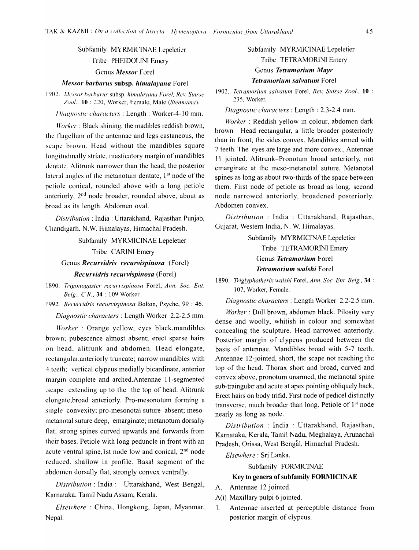Subfamily MYRMICINAE Lepeletier Tribe PHEIDOLINI Emery Genus *Messor* Forel

#### ~Ies.'·(}r *barbarlls* subsp. *himalayana* Forel

1902. *Messor barbarus subsp. himalayana Forel, Rev. Suisse* Zool., 10 : 220, Worker, Female, Male (Stennama).

Diagnostic characters : Length : Worker-4-10 mm.

*Worker: Black shining, the madibles reddish brown,* the tlagellum of the antennae and legs castaneous, the scape brown. Head without the mandibles square longitudinally striate, masticatory margin of mandibles dentate. Alitrunk narrower than the head, the posterior lateral angles of the metanotum dentate,  $1<sup>st</sup>$  node of the petiole conical, rounded above with a long petiole anteriorly, 2nd node broader, rounded above, about as broad as its length. Abdomen oval.

*Distribution*: India: Uttarakhand, Rajasthan Punjab, Chandigarh, N. W. Himalayas, Himachal Pradesh.

> Subfamily MYRMICINAE Lepeletier Tribe CARfNI Emery

Genus *Recurvidris recurvispinosa* (Forel) *ReclIrvitiris recurvispinosa* (Forel)

1890. Trigonogaster recurvispinosa Forel, *Ann. Soc. Ent. Be/g., CR.,* 34 : 109 Worker.

1992. Recurvidris recurvispinosa Bolton, Psyche, 99 : 46.

*Diagnostic characters:* Length Worker 2.2-2.5 mm.

*Worker* : Orange yellow, eyes black,mandibles brown: pubescence almost absent; erect sparse hairs on head, alitrunk and abdomen. Head elongate, rectangular,anteriorly truncate; narrow mandibles with 4 teeth; vertical clypeus medially bicardinate, anterior margin complete and arched. Antennae II-segmented .scape extending up to the the top of head. Alitrunk elongate,broad anteriorly. Pro-mesonotum fonning a single convexity; pro-mesonotal suture absent; mesometanotal suture deep, emarginate; metanotum dorsally tlat, strong spines curved upwards and forwards from their bases, Petiole with long peduncle in front with an acute ventral spine, 1 st node low and conical,  $2<sup>nd</sup>$  node reduced. shallow in profile. Basal segment of the abdomen dorsally flat, strongly convex ventrally.

*Distribution:* India: Uttarakhand, West Bengal, Karnataka, Tamil Nadu Assam, Kerala.

*Elsewhere:* China, Hongkong, Japan, Myanmar, Nepal.

# Subfamily MYRMICINAE Lepeletier Tribe TETRAMORINI Emery Genus *Tetramorium Mayr Tetramorium salvatum Forel*

1902. Tetramorium salvatum Forel, Rev. Suisse Zool., 10 : 235, Worker.

*Diagnostic characters:* Length: 2.3-2.4 mm.

*Worker* : Reddish yellow in colour, abdomen dark brown Head rectangular, a little broader posteriorly than in front, the sides convex. Mandibles armed with 7 teeth. The eyes are large and more convex., Antennae 11 jointed. Alitrunk-Pronotum broad anteriorly, not emarginate at the meso-metanotal suture. Metanotal spines as long as about two-thirds of the space between them. First node of petiole as broad as long, second node narrowed anteriorly, broadened posteriorly. Abdomen convex.

*Distribution* : India : Uttarakhand, Rajasthan, Gujarat, Western India, N. W. Himalayas.

> Subfamily MYRMICINAE Lepeletier Tribe TETRAMORINI Emery Genus *Tetramorium* Forel *Tetramorium walshi Forel*

*1890. Triglyphotherix walshi* Forel, *Ann. Soc. Ent. Belg..* 34 : 107, Worker, Female.

*Diagnostic characters:* Length Worker 2.2-2.5 mm.

*Worker:* Dull brown, abdomen black. Pilosity very dense and woolly, whitish in colour and somewhat concealing the sculpture. Head narrowed anteriorly. Posterior margin of clypeus produced between the basis of antennae. Mandibles broad with 5-7 teeth. Antennae I2-jointed, short, the scape not reaching the top of the head. Thorax short and broad, curved and convex above, pronotum unanned, the metanotal spine sub-traingular and acute at apex pointing obliquely back, Erect hairs on body trifid. First node of pedicel distinctly transverse, much broader than long. Petiole of  $1<sup>st</sup>$  node nearly as long as node.

*Distribution* : India : Uttarakhand, Rajasthan, Karnataka, Kerala, Tamil Nadu, Meghalaya, Arunachal Pradesh, Orissa, West Bengal, Himachal Pradesh.

*Elsewhere:* Sri Lanka.

Subfamily FORMICINAE

#### Key to genera of subfamily FORMICINAE

- A. Antennae 12 jointed.
- A(i) Maxillary pulpi 6 jointed.
- 1. Antennae inserted at perceptible distance from posterior margin of clypeus.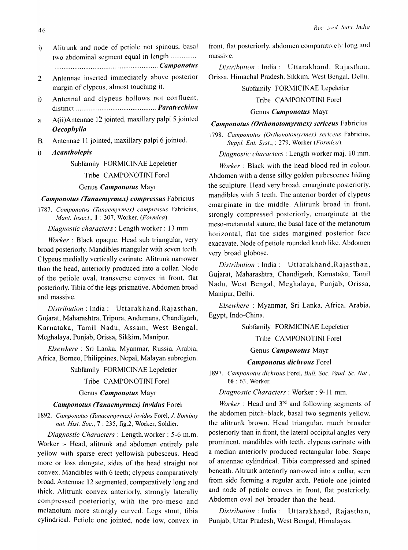- i) Alitrunk and node of petiole not spinous. basal two abdominal segment equal in length .............. ......................................................... *Canlponofus*
- 2. Antennae inserted immediately above posterior margin of clypeus, almost touching it.
- i) Antennal and clypeus hollows not confluent, distinct ............................................ *Paratrechina*
- a A(ii)Antennae 12 jointed, maxillary palpi 5 jointed *Oecophy/la*
- B. Antennae 11 jointed, maxillary palpi 6 jointed.
- i) *A* can tholepis

# Subfamily FORMICINAE Lepeletier

#### Tribe CAMPONOTINI Forel

### Genus *Camponotus* Mayr

## *Camponotus (Tanaemyrmex) compressus* Fabricius

1787. Componotus (Tanaemyrmex) compressus Fabricius, *Mant. Insect.,* I : 307, Worker, *(Formica).* 

*Diagnostic characters:* Length worker: 13 mm

*Worker:* Black opaque. Head sub triangular, very broad posteriorly. Mandibles triangular with seven teeth. Clypeus medially vertically carinate. Alitrunk narrower than the head, anteriorly produced into a collar. Node of the petiole oval, transverse convex in front, flat posteriorly. Tibia of the legs prismative. Abdomen broad and massive.

*Distribution:* India: Uttarakhand,Rajasthan, Gujarat, Maharashtra, Tripura, Andamans, Chandigarh, Karnataka, Tamil Nadu, Assam, West Bengal, Meghalaya, Punjab, Orissa, Sikkim, Manipur.

*Elsewhere:* Sri Lanka, Myanmar, Russia, Arabia, Africa, Borneo, Philippines, Nepal, Malayan subregion.

Subfamily FORMICINAE Lepeletier

### Tribe CAMPONOTINI Forel

### Genus *Camponotus* Mayr

#### *Camponotus (Tanaemyrmex) invidus Forel*

*1892. Camponotus (Tanacemyrmex) invidus* Forel, J. *Bombay nat. Hist. Soc.,* 7 : 235, fig.2, Worker, Soldier.

*Diagnostic Characters* : Length.worker: 5-6 m.m. Worker :- Head, alitrunk and abdomen entirely pale yellow with sparse erect yellowish pubesceus. Head more or loss elongate, sides of the head straight not convex. Mandibles with 6 teeth; c1ypeus comparatively broad. Antennae 12 segmented, comparatively long and thick. Alitrunk convex anteriorly, strongly laterally compressed poeteriorly, with the pro-meso and metanotum more strongly curved. Legs stout, tibia cylindrical. Petiole one jointed, node low, convex in front, flat posteriorly, abdomen comparatively long and massive.

*Distribution*: India: Uttarakhand, Rajasthan. Orissa, Himachal Pradesh, Sikkim, West Bengal, Dclhi.

### Subfamily FORMICINAE Lepeletier

# Tribe CAMPONOTINI Forel

### Genus *Camponotus* Mayr

# *Camponotus (Orthonotomyrmex) sericeus Fabricius*

1798. Camponotus (Orthonotomyrmex) sericeus Fabricius, *SliPPI. Ent. Syst.,* : 279, Worker *(Formica).* 

*Diagnostic characters:* Length worker maj. 10 mm.

 $Worker$ : Black with the head blood red in colour. Abdomen with a dense silky golden pubescence hiding the sculpture. Head very broad, emarginate posteriorly, mandibles with 5 teeth. The anterior border of clypeus emarginate in the middle. Alitrunk broad in front, strongly compressed posteriorly, emarginate at the meso-metanotal suture, the basal face of the metanotum horizontal, flat the sides margined posterior face exacavate. Node of petiole rounded knob like. Abdomen very broad globose.

*Distribution:* India: Uttarakhand,Rajasthan, Gujarat, Maharashtra, Chandigarh, Kamataka, Tamil Nadu, West Bengal, Meghalaya, Punjab, Orissa, Manipur, Delhi.

*Elsewhere* : Myanmar, Sri Lanka, Africa, Arabia, Egypt, Indo-China.

Subfamily FORMICINAE Lepeletier

Tribe CAMPONOTINI Forel

Genus *Camponotus* Mayr

# *Camponotus dichrous* Forel

1897. Camponotus dichrous Forel, *Bull. Soc. Vaud. Sc. Nat.*, 16 : 63, Worker.

*Diagnostic Characters:* Worker: 9-11 mm.

*Worker*: Head and 3<sup>rd</sup> and following segments of the abdomen pitch-black, basal two segments yellow, the alitrunk brown. Head triangular, much broader posteriorly than in front, the lateral occipital angles very prominent, mandibles with teeth, clypeus carinate with a median anteriorly produced rectangular lobe. Scape of antennae cylindrical. Tibia compressed and spined beneath. Altrunk anteriorly narrowed into a collar, seen from side forming a regular arch. Petiole one jointed and node of petiole convex in front, flat posteriorly. Abdomen oval not broader than the head.

*Distribution:* India: Uttarakhand, Rajasthan, Punjab, Uttar Pradesh, West Bengal, Himalayas.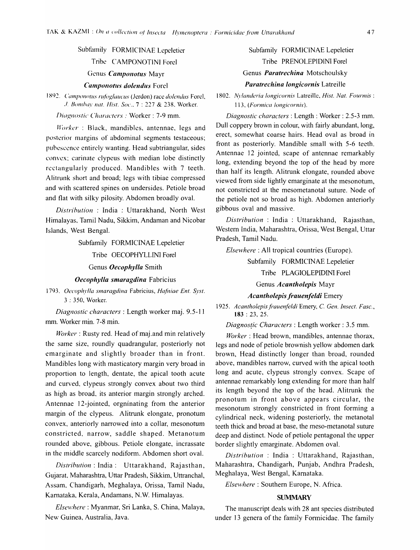Subfamily FORMICINAE Lepeletier

Tribe CAMPONOTINI Forcl

Genus *Camponotus* Mayr

Camponotus dolendus Forel

1892. Camponotus rufoglaucus (Jerdon) race *dolendus* Forel, ./. BOII/huy *lIat. Hist. Soc.,* 7 : 227 & 238, Worker.

*/)il/gnostic Characters:* Worker: 7-9 mm.

*Workcr* : Black, mandibles, antennae, legs and posterior margins of abdominal segments testaceous; puhescence entirely wanting. Head subtriangular, sides convex; carinate clypeus with median lobe distinctly rectangularly produced. Mandibles with 7 teeth. Alitrunk short and broad; legs with tibiae compressed and with scattered spines on undersides. Petiole broad and flat with silky pilosity. Abdomen broadly oval.

*Distrihution* : India : Uttarakhand, North West Himalayas, Tamil Nadu, Sikkim, Andaman and Nicobar Islands, West Bengal.

Subfamily FORMICINAE Lepeletier

Tribe OECOPHYLLINI Forel

Genus *Oecophylla* Smith

*Oecophylla smaragdina* Fabricius

1793. Oecophylla smaragdina Fabricius, *Hafniae Ent. Syst.* 3 : 350, Worker.

*Diagnostic characters:* Length worker maj. 9.5-11 mm. Worker min. 7-8 min.

*Worker*: Rusty red. Head of maj.and min relatively the same size, roundly quadrangular, posteriorly not emarginate and slightly broader than in front. Mandibles long with masticatory margin very broad in proportion to length, dentate, the apical tooth acute and curved, clypeus strongly convex about two third as high as broad, its anterior margin strongly arched. Antennae 12-jointed, orgninating from the anterior margin of the clypeus. Alitrunk elongate, pronotum convex, anteriorly narrowed into a collar, mesonotum constricted, narrow, saddle shaped. Metanotum rounded above, gibbous. Petiole elongate, incrassate in the middle scarcely nodiform. Abdomen short oval.

*Distrihlltion* : India: Uttarakhand, Rajasthan, Gujarat, Maharashtra, Uttar Pradesh, Sikkim, Uttranchal, Assam, Chandigarh, Meghalaya, Orissa, Tamil Nadu, Karnataka, Kerala, Andamans, N. W. Himalayas.

*Elsewhere: Myanmar, Sri Lanka, S. China, Malaya,* New Guinea, Australia, Java.

Subfamily FORMICINAE Lepeletier Tribe PRENOLEPIDINI Forel Genus *Paratrechina* Motschoulsky *Paratrechina longicornis* Latreille

*1802. Nylanderia /ongicornis* Latreille, *Hist. Nat. Fourmis :*  113, *(Formica longicornis)*.

*Diagnostic characters:* Length: Worker: 2.5-3 mm. Dull coppery brown in colour, with fairly abundant, long, erect, somewhat coarse hairs. Head oval as broad in front as posteriorly. Mandible small with 5-6 teeth. Antennae 12 jointed, scape of antennae remarkably long, extending beyond the top of the head by more than half its length. Alitrunk elongate, rounded above viewed from side lightly emarginate at the mesonotum, not constricted at the mesometanotal suture. Node of the petiole not so broad as high. Abdomen anteriorly gibbous oval and massive.

*Distribution* : India : Uttarakhand, Rajasthan, Western India, Maharashtra, Orissa, West Bengal, Uttar Pradesh, Tamil Nadu.

*Elsewhere:* All tropical countries (Europe).

Subfamily FORMICINAE Lepeletier

Tribe PLAGIOLEPIDINI Forel

Genus *Acantholepis* Mayr

#### *Acantholepis frauenfeldi* Emery

*1925. Acantholepisfrauenfeldi* Emery, C. *Gen. Insect. Fasc.,*  183 : 23,25.

*Diagnos{ic Characters:* Length worker: 3.5 mm.

*Worker:* Head brown, mandibles, antennae thorax, legs and node of petiole brownish yellow abdomen dark brown, Head distinctly longer than broad, rounded above, mandibles narrow, curved with the apical tooth long and acute, clypeus strongly convex. Scape of antennae remarkably long extending for more than half its length beyond the top of the head. Alitrunk the pronotum in front above appears circular, the mesonotum strongly constricted in front forming a cylindrical neck, widening posteriorly, the metanotal teeth thick and broad at base, the meso-metanotal suture deep and distinct. Node of petiole pentagonal the upper border slightly emarginate. Abdomen oval.

*Distrihution* : India : Uttarakhand, Rajasthan, Maharashtra, Chandigarh, Punjab, Andhra Pradesh, Meghalaya, West Bengal, Karnataka.

*Elsewhere* : Southern Europe, N. Africa.

### **SUMMARY**

The manuscript deals with 28 ant species distributed under 13 genera of the family Formicidae. The family